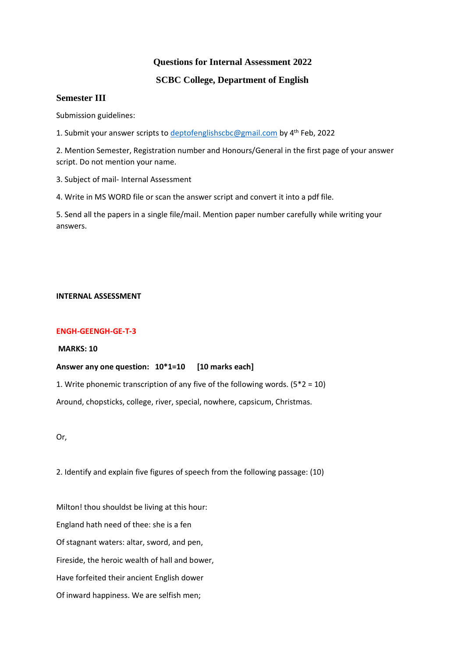# **Questions for Internal Assessment 2022**

# **SCBC College, Department of English**

## **Semester III**

Submission guidelines:

1. Submit your answer scripts to [deptofenglishscbc@gmail.com](mailto:deptofenglishscbc@gmail.com) by 4<sup>th</sup> Feb, 2022

2. Mention Semester, Registration number and Honours/General in the first page of your answer script. Do not mention your name.

3. Subject of mail- Internal Assessment

4. Write in MS WORD file or scan the answer script and convert it into a pdf file.

5. Send all the papers in a single file/mail. Mention paper number carefully while writing your answers.

#### **INTERNAL ASSESSMENT**

### **ENGH-GEENGH-GE-T-3**

**MARKS: 10**

### **Answer any one question: 10\*1=10 [10 marks each]**

1. Write phonemic transcription of any five of the following words.  $(5^*2 = 10)$ 

Around, chopsticks, college, river, special, nowhere, capsicum, Christmas.

Or,

2. Identify and explain five figures of speech from the following passage: (10)

Milton! thou shouldst be living at this hour: England hath need of thee: she is a fen Of stagnant waters: altar, sword, and pen, Fireside, the heroic wealth of hall and bower, Have forfeited their ancient English dower Of inward happiness. We are selfish men;